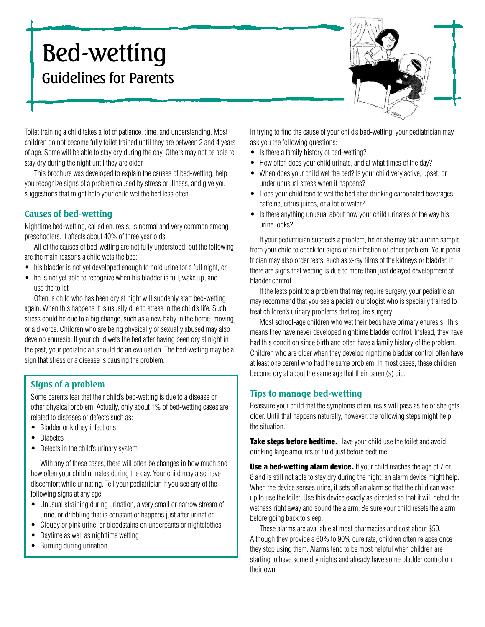# Bed-wetting Guidelines for Parents



Toilet training a child takes a lot of patience, time, and understanding. Most children do not become fully toilet trained until they are between 2 and 4 years of age. Some will be able to stay dry during the day. Others may not be able to stay dry during the night until they are older.

This brochure was developed to explain the causes of bed-wetting, help you recognize signs of a problem caused by stress or illness, and give you suggestions that might help your child wet the bed less often.

## **Causes of bed-wetting**

Nighttime bed-wetting, called enuresis, is normal and very common among preschoolers. It affects about 40% of three year olds.

All of the causes of bed-wetting are not fully understood, but the following are the main reasons a child wets the bed:

- his bladder is not vet developed enough to hold urine for a full night, or
- he is not yet able to recognize when his bladder is full, wake up, and use the toilet

Often, a child who has been dry at night will suddenly start bed-wetting again. When this happens it is usually due to stress in the child's life. Such stress could be due to a big change, such as a new baby in the home, moving, or a divorce. Children who are being physically or sexually abused may also develop enuresis. If your child wets the bed after having been dry at night in the past, your pediatrician should do an evaluation. The bed-wetting may be a sign that stress or a disease is causing the problem.

# **Signs of a problem**

Some parents fear that their child's bed-wetting is due to a disease or other physical problem. Actually, only about 1% of bed-wetting cases are related to diseases or defects such as:

- Bladder or kidney infections
- Diabetes
- Defects in the child's urinary system

With any of these cases, there will often be changes in how much and how often your child urinates during the day. Your child may also have discomfort while urinating. Tell your pediatrician if you see any of the following signs at any age:

- Unusual straining during urination, a very small or narrow stream of urine, or dribbling that is constant or happens just after urination
- Cloudy or pink urine, or bloodstains on underpants or nightclothes
- Daytime as well as nighttime wetting
- Burning during urination

In trying to find the cause of your child's bed-wetting, your pediatrician may ask you the following questions:

- Is there a family history of bed-wetting?
- How often does your child urinate, and at what times of the day?
- When does your child wet the bed? Is your child very active, upset, or under unusual stress when it happens?
- Does your child tend to wet the bed after drinking carbonated beverages, caffeine, citrus juices, or a lot of water?
- Is there anything unusual about how your child urinates or the way his urine looks?

If your pediatrician suspects a problem, he or she may take a urine sample from your child to check for signs of an infection or other problem. Your pediatrician may also order tests, such as x-ray films of the kidneys or bladder, if there are signs that wetting is due to more than just delayed development of bladder control.

If the tests point to a problem that may require surgery, your pediatrician may recommend that you see a pediatric urologist who is specially trained to treat children's urinary problems that require surgery.

Most school-age children who wet their beds have primary enuresis. This means they have never developed nighttime bladder control. Instead, they have had this condition since birth and often have a family history of the problem. Children who are older when they develop nighttime bladder control often have at least one parent who had the same problem. In most cases, these children become dry at about the same age that their parent(s) did.

### **Tips to manage bed-wetting**

Reassure your child that the symptoms of enuresis will pass as he or she gets older. Until that happens naturally, however, the following steps might help the situation.

**Take steps before bedtime.** Have your child use the toilet and avoid drinking large amounts of fluid just before bedtime.

**Use a bed-wetting alarm device.** If your child reaches the age of 7 or 8 and is still not able to stay dry during the night, an alarm device might help. When the device senses urine, it sets off an alarm so that the child can wake up to use the toilet. Use this device exactly as directed so that it will detect the wetness right away and sound the alarm. Be sure your child resets the alarm before going back to sleep.

These alarms are available at most pharmacies and cost about \$50. Although they provide a 60% to 90% cure rate, children often relapse once they stop using them. Alarms tend to be most helpful when children are starting to have some dry nights and already have some bladder control on their own.